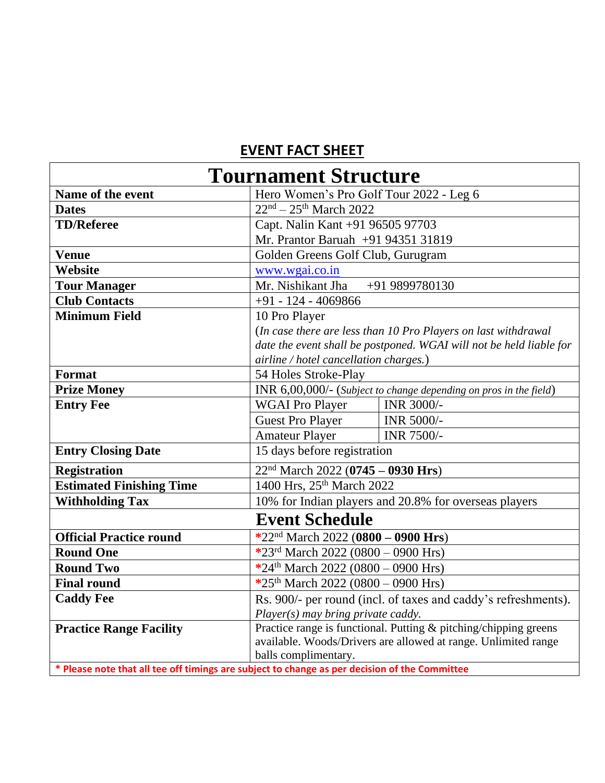## **EVENT FACT SHEET**

| <b>Tournament Structure</b>     |                                                                                               |
|---------------------------------|-----------------------------------------------------------------------------------------------|
| Name of the event               | Hero Women's Pro Golf Tour 2022 - Leg 6                                                       |
| <b>Dates</b>                    | $22nd - 25th March 2022$                                                                      |
| <b>TD/Referee</b>               | Capt. Nalin Kant +91 96505 97703                                                              |
|                                 | Mr. Prantor Baruah +91 94351 31819                                                            |
| <b>Venue</b>                    | Golden Greens Golf Club, Gurugram                                                             |
| Website                         | www.wgai.co.in                                                                                |
| <b>Tour Manager</b>             | Mr. Nishikant Jha<br>+91 9899780130                                                           |
| <b>Club Contacts</b>            | $+91 - 124 - 4069866$                                                                         |
| <b>Minimum Field</b>            | 10 Pro Player                                                                                 |
|                                 | (In case there are less than 10 Pro Players on last withdrawal                                |
|                                 | date the event shall be postponed. WGAI will not be held liable for                           |
|                                 | airline / hotel cancellation charges.)                                                        |
| Format                          | 54 Holes Stroke-Play                                                                          |
| <b>Prize Money</b>              | INR 6,00,000/- (Subject to change depending on pros in the field)                             |
| <b>Entry Fee</b>                | INR 3000/-<br><b>WGAI Pro Player</b>                                                          |
|                                 | <b>Guest Pro Player</b><br>INR 5000/-                                                         |
|                                 | <b>Amateur Player</b><br>INR 7500/-                                                           |
| <b>Entry Closing Date</b>       | 15 days before registration                                                                   |
| <b>Registration</b>             | $22nd March 2022 (0745 - 0930 Hrs)$                                                           |
| <b>Estimated Finishing Time</b> | 1400 Hrs, 25 <sup>th</sup> March 2022                                                         |
| <b>Withholding Tax</b>          | 10% for Indian players and 20.8% for overseas players                                         |
| <b>Event Schedule</b>           |                                                                                               |
| <b>Official Practice round</b>  | *22 <sup>nd</sup> March 2022 (0800 - 0900 Hrs)                                                |
| <b>Round One</b>                | *23rd March 2022 (0800 - 0900 Hrs)                                                            |
| <b>Round Two</b>                | *24 <sup>th</sup> March 2022 (0800 – 0900 Hrs)                                                |
| <b>Final round</b>              | *25 <sup>th</sup> March 2022 (0800 – 0900 Hrs)                                                |
| <b>Caddy Fee</b>                | Rs. 900/- per round (incl. of taxes and caddy's refreshments).                                |
|                                 | Player(s) may bring private caddy.                                                            |
| <b>Practice Range Facility</b>  | Practice range is functional. Putting & pitching/chipping greens                              |
|                                 | available. Woods/Drivers are allowed at range. Unlimited range                                |
|                                 | balls complimentary.                                                                          |
|                                 | * Please note that all tee off timings are subject to change as per decision of the Committee |